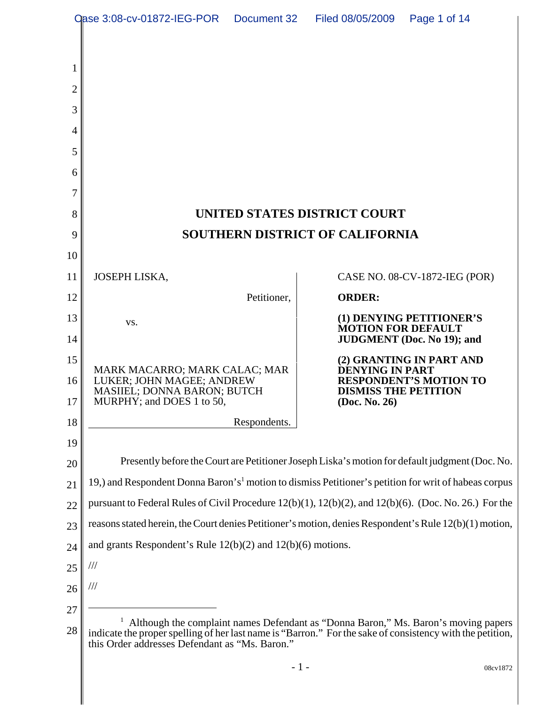| <b>Qase 3:08-cv-01872-IEG-POR</b><br>Filed 08/05/2009<br>Document 32 |                                                                                                                                                                                                                                                   |              | Page 1 of 14                |                                   |  |
|----------------------------------------------------------------------|---------------------------------------------------------------------------------------------------------------------------------------------------------------------------------------------------------------------------------------------------|--------------|-----------------------------|-----------------------------------|--|
|                                                                      |                                                                                                                                                                                                                                                   |              |                             |                                   |  |
|                                                                      |                                                                                                                                                                                                                                                   |              |                             |                                   |  |
| 2                                                                    |                                                                                                                                                                                                                                                   |              |                             |                                   |  |
| 3                                                                    |                                                                                                                                                                                                                                                   |              |                             |                                   |  |
| 4                                                                    |                                                                                                                                                                                                                                                   |              |                             |                                   |  |
| 5                                                                    |                                                                                                                                                                                                                                                   |              |                             |                                   |  |
| 6                                                                    |                                                                                                                                                                                                                                                   |              |                             |                                   |  |
| 7                                                                    |                                                                                                                                                                                                                                                   |              |                             |                                   |  |
| 8                                                                    | UNITED STATES DISTRICT COURT                                                                                                                                                                                                                      |              |                             |                                   |  |
| 9                                                                    | <b>SOUTHERN DISTRICT OF CALIFORNIA</b>                                                                                                                                                                                                            |              |                             |                                   |  |
| 10                                                                   |                                                                                                                                                                                                                                                   |              |                             |                                   |  |
| 11                                                                   | JOSEPH LISKA,                                                                                                                                                                                                                                     |              |                             | CASE NO. 08-CV-1872-IEG (POR)     |  |
| 12                                                                   |                                                                                                                                                                                                                                                   | Petitioner,  | <b>ORDER:</b>               |                                   |  |
| 13                                                                   | VS.                                                                                                                                                                                                                                               |              | <b>MOTION FOR DEFAULT</b>   | (1) DENYING PETITIONER'S          |  |
| 14                                                                   |                                                                                                                                                                                                                                                   |              |                             | <b>JUDGMENT</b> (Doc. No 19); and |  |
| 15                                                                   | MARK MACARRO; MARK CALAC; MAR                                                                                                                                                                                                                     |              | <b>DENYING IN PART</b>      | (2) GRANTING IN PART AND          |  |
| 16                                                                   | LUKER; JOHN MAGEE; ANDREW<br><b>MASIIEL; DONNA BARON; BUTCH</b>                                                                                                                                                                                   |              | <b>DISMISS THE PETITION</b> | <b>RESPONDENT'S MOTION TO</b>     |  |
| 17 <sup>1</sup>                                                      | MURPHY; and DOES 1 to 50,                                                                                                                                                                                                                         |              | (Doc. No. 26)               |                                   |  |
| 18                                                                   |                                                                                                                                                                                                                                                   | Respondents. |                             |                                   |  |
| 19                                                                   |                                                                                                                                                                                                                                                   |              |                             |                                   |  |
| 20                                                                   | Presently before the Court are Petitioner Joseph Liska's motion for default judgment (Doc. No.<br>19, and Respondent Donna Baron's <sup>1</sup> motion to dismiss Petitioner's petition for writ of habeas corpus                                 |              |                             |                                   |  |
| 21                                                                   | pursuant to Federal Rules of Civil Procedure $12(b)(1)$ , $12(b)(2)$ , and $12(b)(6)$ . (Doc. No. 26.) For the                                                                                                                                    |              |                             |                                   |  |
| 22<br>23                                                             | reasons stated herein, the Court denies Petitioner's motion, denies Respondent's Rule 12(b)(1) motion,                                                                                                                                            |              |                             |                                   |  |
| 24                                                                   | and grants Respondent's Rule $12(b)(2)$ and $12(b)(6)$ motions.                                                                                                                                                                                   |              |                             |                                   |  |
| 25                                                                   | ///                                                                                                                                                                                                                                               |              |                             |                                   |  |
| 26                                                                   | ///                                                                                                                                                                                                                                               |              |                             |                                   |  |
| 27                                                                   |                                                                                                                                                                                                                                                   |              |                             |                                   |  |
| 28                                                                   | Although the complaint names Defendant as "Donna Baron," Ms. Baron's moving papers<br>indicate the proper spelling of her last name is "Barron." For the sake of consistency with the petition,<br>this Order addresses Defendant as "Ms. Baron." |              |                             |                                   |  |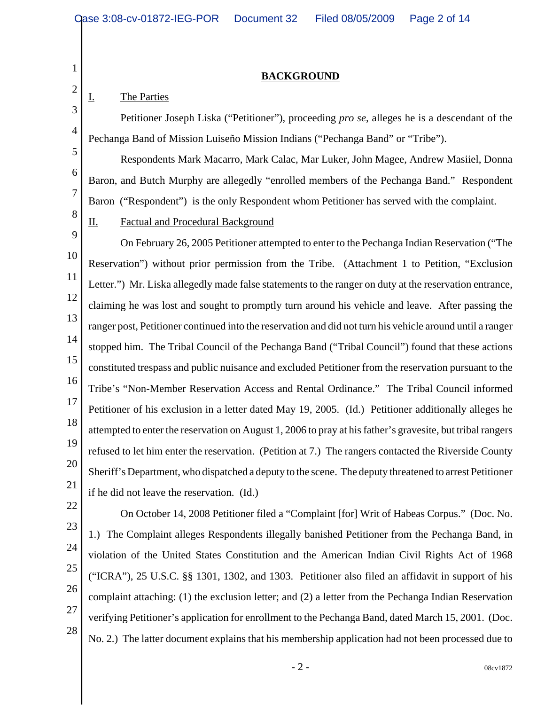### **BACKGROUND**

### I. The Parties

1

2

3

4

5

6

7

8

Petitioner Joseph Liska ("Petitioner"), proceeding *pro se*, alleges he is a descendant of the Pechanga Band of Mission Luiseño Mission Indians ("Pechanga Band" or "Tribe").

Respondents Mark Macarro, Mark Calac, Mar Luker, John Magee, Andrew Masiiel, Donna Baron, and Butch Murphy are allegedly "enrolled members of the Pechanga Band." Respondent Baron ("Respondent") is the only Respondent whom Petitioner has served with the complaint.

## II. Factual and Procedural Background

9 10 11 12 13 14 15 16 17 18 19 20 21 On February 26, 2005 Petitioner attempted to enter to the Pechanga Indian Reservation ("The Reservation") without prior permission from the Tribe. (Attachment 1 to Petition, "Exclusion Letter.") Mr. Liska allegedly made false statements to the ranger on duty at the reservation entrance, claiming he was lost and sought to promptly turn around his vehicle and leave. After passing the ranger post, Petitioner continued into the reservation and did not turn his vehicle around until a ranger stopped him. The Tribal Council of the Pechanga Band ("Tribal Council") found that these actions constituted trespass and public nuisance and excluded Petitioner from the reservation pursuant to the Tribe's "Non-Member Reservation Access and Rental Ordinance." The Tribal Council informed Petitioner of his exclusion in a letter dated May 19, 2005. (Id.) Petitioner additionally alleges he attempted to enter the reservation on August 1, 2006 to pray at his father's gravesite, but tribal rangers refused to let him enter the reservation. (Petition at 7.) The rangers contacted the Riverside County Sheriff's Department, who dispatched a deputy to the scene. The deputy threatened to arrest Petitioner if he did not leave the reservation. (Id.)

- 22
- 23
- 24
- 25
- 26
- 27

28

1.) The Complaint alleges Respondents illegally banished Petitioner from the Pechanga Band, in violation of the United States Constitution and the American Indian Civil Rights Act of 1968 ("ICRA"), 25 U.S.C. §§ 1301, 1302, and 1303. Petitioner also filed an affidavit in support of his complaint attaching: (1) the exclusion letter; and (2) a letter from the Pechanga Indian Reservation verifying Petitioner's application for enrollment to the Pechanga Band, dated March 15, 2001. (Doc. No. 2.) The latter document explains that his membership application had not been processed due to

On October 14, 2008 Petitioner filed a "Complaint [for] Writ of Habeas Corpus." (Doc. No.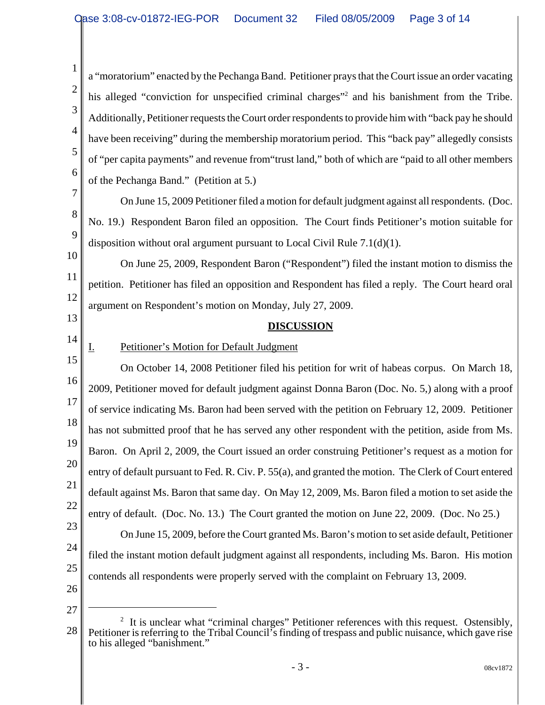4 a "moratorium" enacted by the Pechanga Band. Petitioner prays that the Court issue an order vacating his alleged "conviction for unspecified criminal charges"<sup>2</sup> and his banishment from the Tribe. Additionally, Petitioner requests the Court order respondents to provide him with "back pay he should have been receiving" during the membership moratorium period. This "back pay" allegedly consists of "per capita payments" and revenue from"trust land," both of which are "paid to all other members of the Pechanga Band." (Petition at 5.)

On June 15, 2009 Petitioner filed a motion for default judgment against all respondents. (Doc. No. 19.) Respondent Baron filed an opposition. The Court finds Petitioner's motion suitable for disposition without oral argument pursuant to Local Civil Rule 7.1(d)(1).

10 11 12 On June 25, 2009, Respondent Baron ("Respondent") filed the instant motion to dismiss the petition. Petitioner has filed an opposition and Respondent has filed a reply. The Court heard oral argument on Respondent's motion on Monday, July 27, 2009.

### **DISCUSSION**

14

13

1

2

3

5

6

7

8

9

# I. Petitioner's Motion for Default Judgment

15 16 17 18 19 20 21 22 23 24 25 On October 14, 2008 Petitioner filed his petition for writ of habeas corpus. On March 18, 2009, Petitioner moved for default judgment against Donna Baron (Doc. No. 5,) along with a proof of service indicating Ms. Baron had been served with the petition on February 12, 2009. Petitioner has not submitted proof that he has served any other respondent with the petition, aside from Ms. Baron. On April 2, 2009, the Court issued an order construing Petitioner's request as a motion for entry of default pursuant to Fed. R. Civ. P. 55(a), and granted the motion. The Clerk of Court entered default against Ms. Baron that same day. On May 12, 2009, Ms. Baron filed a motion to set aside the entry of default. (Doc. No. 13.) The Court granted the motion on June 22, 2009. (Doc. No 25.) On June 15, 2009, before the Court granted Ms. Baron's motion to set aside default, Petitioner filed the instant motion default judgment against all respondents, including Ms. Baron. His motion contends all respondents were properly served with the complaint on February 13, 2009.

<sup>28</sup>  $2$  It is unclear what "criminal charges" Petitioner references with this request. Ostensibly, Petitioner is referring to the Tribal Council's finding of trespass and public nuisance, which gave rise to his alleged "banishment."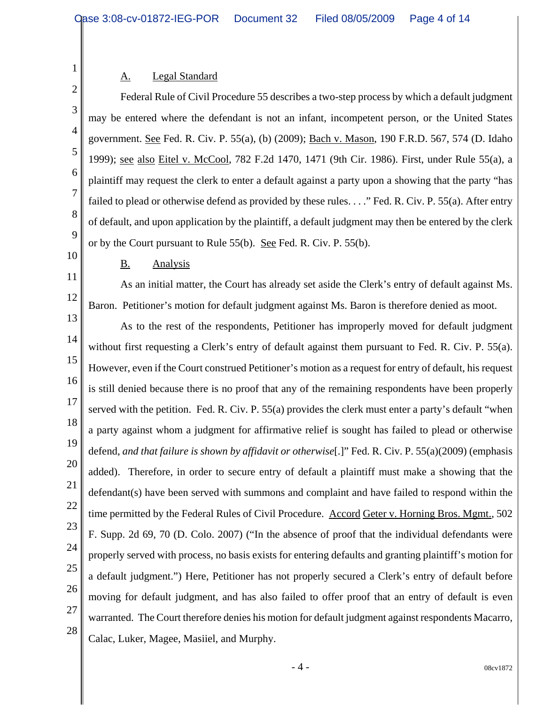### A. Legal Standard

1

2

3

4

5

6

7

8

9

10

11

12

Federal Rule of Civil Procedure 55 describes a two-step process by which a default judgment may be entered where the defendant is not an infant, incompetent person, or the United States government. See Fed. R. Civ. P. 55(a), (b) (2009); Bach v. Mason, 190 F.R.D. 567, 574 (D. Idaho 1999); see also Eitel v. McCool, 782 F.2d 1470, 1471 (9th Cir. 1986). First, under Rule 55(a), a plaintiff may request the clerk to enter a default against a party upon a showing that the party "has failed to plead or otherwise defend as provided by these rules. . . ." Fed. R. Civ. P. 55(a). After entry of default, and upon application by the plaintiff, a default judgment may then be entered by the clerk or by the Court pursuant to Rule 55(b). See Fed. R. Civ. P. 55(b).

#### B. Analysis

As an initial matter, the Court has already set aside the Clerk's entry of default against Ms. Baron. Petitioner's motion for default judgment against Ms. Baron is therefore denied as moot.

13 14 15 16 17 18 19 20 21 22 23 24 25 26 27 28 As to the rest of the respondents, Petitioner has improperly moved for default judgment without first requesting a Clerk's entry of default against them pursuant to Fed. R. Civ. P. 55(a). However, even if the Court construed Petitioner's motion as a request for entry of default, his request is still denied because there is no proof that any of the remaining respondents have been properly served with the petition. Fed. R. Civ. P. 55(a) provides the clerk must enter a party's default "when a party against whom a judgment for affirmative relief is sought has failed to plead or otherwise defend, *and that failure is shown by affidavit or otherwise*[.]" Fed. R. Civ. P. 55(a)(2009) (emphasis added). Therefore, in order to secure entry of default a plaintiff must make a showing that the defendant(s) have been served with summons and complaint and have failed to respond within the time permitted by the Federal Rules of Civil Procedure. Accord Geter v. Horning Bros. Mgmt., 502 F. Supp. 2d 69, 70 (D. Colo. 2007) ("In the absence of proof that the individual defendants were properly served with process, no basis exists for entering defaults and granting plaintiff's motion for a default judgment.") Here, Petitioner has not properly secured a Clerk's entry of default before moving for default judgment, and has also failed to offer proof that an entry of default is even warranted. The Court therefore denies his motion for default judgment against respondents Macarro, Calac, Luker, Magee, Masiiel, and Murphy.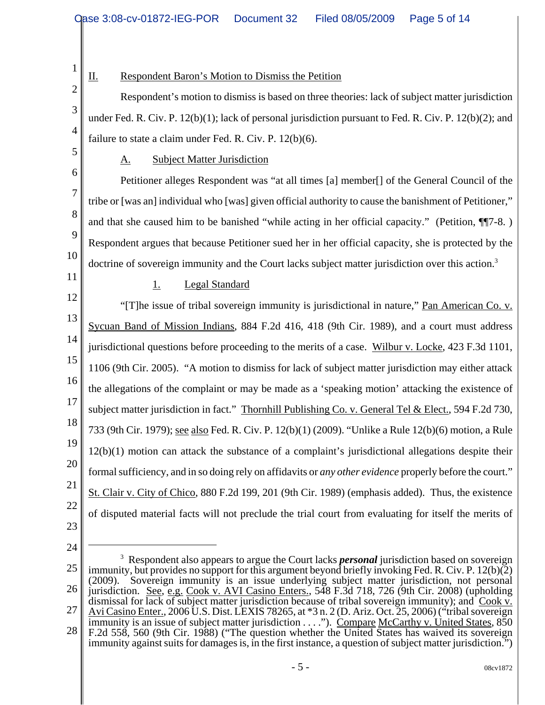1 2 3 4 5 6 7 8 9 10 11 12 13 14 15 16 17 18 19 20 21 22 23 24 <sup>3</sup> Respondent also appears to argue the Court lacks *personal* jurisdiction based on sovereign II. Respondent Baron's Motion to Dismiss the Petition Respondent's motion to dismiss is based on three theories: lack of subject matter jurisdiction under Fed. R. Civ. P. 12(b)(1); lack of personal jurisdiction pursuant to Fed. R. Civ. P. 12(b)(2); and failure to state a claim under Fed. R. Civ. P. 12(b)(6). A. Subject Matter Jurisdiction Petitioner alleges Respondent was "at all times [a] member[] of the General Council of the tribe or [was an] individual who [was] given official authority to cause the banishment of Petitioner," and that she caused him to be banished "while acting in her official capacity." (Petition, ¶¶7-8. ) Respondent argues that because Petitioner sued her in her official capacity, she is protected by the doctrine of sovereign immunity and the Court lacks subject matter jurisdiction over this action.<sup>3</sup> 1. Legal Standard "[T]he issue of tribal sovereign immunity is jurisdictional in nature," Pan American Co. v. Sycuan Band of Mission Indians, 884 F.2d 416, 418 (9th Cir. 1989), and a court must address jurisdictional questions before proceeding to the merits of a case. Wilbur v. Locke, 423 F.3d 1101, 1106 (9th Cir. 2005). "A motion to dismiss for lack of subject matter jurisdiction may either attack the allegations of the complaint or may be made as a 'speaking motion' attacking the existence of subject matter jurisdiction in fact." Thornhill Publishing Co. v. General Tel & Elect., 594 F.2d 730, 733 (9th Cir. 1979); see also Fed. R. Civ. P. 12(b)(1) (2009). "Unlike a Rule 12(b)(6) motion, a Rule 12(b)(1) motion can attack the substance of a complaint's jurisdictional allegations despite their formal sufficiency, and in so doing rely on affidavits or *any other evidence* properly before the court." St. Clair v. City of Chico, 880 F.2d 199, 201 (9th Cir. 1989) (emphasis added). Thus, the existence of disputed material facts will not preclude the trial court from evaluating for itself the merits of

<sup>25</sup> 26 27 28 immunity, but provides no support for this argument beyond briefly invoking Fed. R. Civ. P. 12(b)(2) (2009). Sovereign immunity is an issue underlying subject matter jurisdiction, not personal jurisdiction. See, e.g. Cook v. AVI Casino Enters., 548 F.3d 718, 726 (9th Cir. 2008) (upholding dismissal for lack of subject matter jurisdiction because of tribal sovereign immunity); and Cook v. Avi Casino Enter., 2006 U.S. Dist. LEXIS 78265, at \*3 n. 2 (D. Ariz. Oct. 25, 2006) ("tribal sovereign immunity is an issue of subject matter jurisdiction  $\dots$ "). Compare McCarthy v. United States,  $850$ F.2d 558, 560 (9th Cir. 1988) ("The question whether the United States has waived its sovereign immunity against suits for damages is, in the first instance, a question of subject matter jurisdiction.")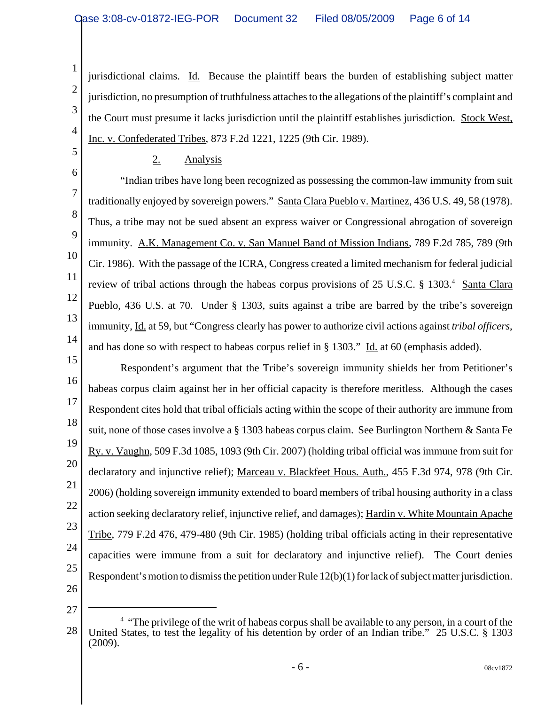jurisdictional claims. Id. Because the plaintiff bears the burden of establishing subject matter jurisdiction, no presumption of truthfulness attaches to the allegations of the plaintiff's complaint and the Court must presume it lacks jurisdiction until the plaintiff establishes jurisdiction. Stock West, Inc. v. Confederated Tribes, 873 F.2d 1221, 1225 (9th Cir. 1989).

# 2. Analysis

6 8 9 10 12 13 14 "Indian tribes have long been recognized as possessing the common-law immunity from suit traditionally enjoyed by sovereign powers." Santa Clara Pueblo v. Martinez, 436 U.S. 49, 58 (1978). Thus, a tribe may not be sued absent an express waiver or Congressional abrogation of sovereign immunity. A.K. Management Co. v. San Manuel Band of Mission Indians, 789 F.2d 785, 789 (9th Cir. 1986). With the passage of the ICRA, Congress created a limited mechanism for federal judicial review of tribal actions through the habeas corpus provisions of 25 U.S.C. § 1303.<sup>4</sup> Santa Clara Pueblo, 436 U.S. at 70. Under § 1303, suits against a tribe are barred by the tribe's sovereign immunity, Id. at 59, but "Congress clearly has power to authorize civil actions against *tribal officers*, and has done so with respect to habeas corpus relief in § 1303." Id. at 60 (emphasis added).

15 16 17 18 19 20 21 22 23 24 25 26 Respondent's argument that the Tribe's sovereign immunity shields her from Petitioner's habeas corpus claim against her in her official capacity is therefore meritless. Although the cases Respondent cites hold that tribal officials acting within the scope of their authority are immune from suit, none of those cases involve a § 1303 habeas corpus claim. See Burlington Northern & Santa Fe Ry. v. Vaughn, 509 F.3d 1085, 1093 (9th Cir. 2007) (holding tribal official was immune from suit for declaratory and injunctive relief); Marceau v. Blackfeet Hous. Auth., 455 F.3d 974, 978 (9th Cir. 2006) (holding sovereign immunity extended to board members of tribal housing authority in a class action seeking declaratory relief, injunctive relief, and damages); Hardin v. White Mountain Apache Tribe, 779 F.2d 476, 479-480 (9th Cir. 1985) (holding tribal officials acting in their representative capacities were immune from a suit for declaratory and injunctive relief). The Court denies Respondent's motion to dismiss the petition under Rule 12(b)(1) for lack of subject matter jurisdiction.

27

1

2

3

4

5

7

<sup>28</sup> <sup>4</sup> "The privilege of the writ of habeas corpus shall be available to any person, in a court of the United States, to test the legality of his detention by order of an Indian tribe." 25 U.S.C. § 1303 (2009).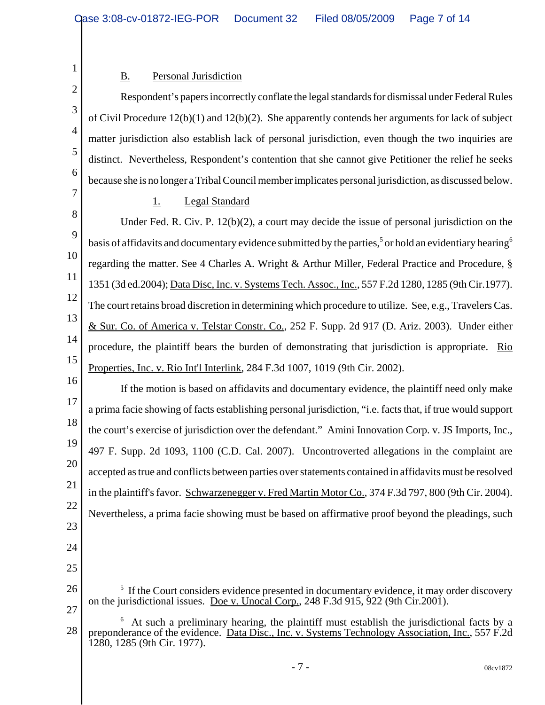# 3 4 5 6 7 8 9 10 11

1

2

## B. Personal Jurisdiction

Respondent's papers incorrectly conflate the legal standards for dismissal under Federal Rules of Civil Procedure 12(b)(1) and 12(b)(2). She apparently contends her arguments for lack of subject matter jurisdiction also establish lack of personal jurisdiction, even though the two inquiries are distinct. Nevertheless, Respondent's contention that she cannot give Petitioner the relief he seeks because she is no longer a Tribal Council member implicates personal jurisdiction, as discussed below.

### 1. Legal Standard

12 13 14 15 Under Fed. R. Civ. P.  $12(b)(2)$ , a court may decide the issue of personal jurisdiction on the basis of affidavits and documentary evidence submitted by the parties,<sup>5</sup> or hold an evidentiary hearing<sup>6</sup> regarding the matter. See 4 Charles A. Wright & Arthur Miller, Federal Practice and Procedure, § 1351 (3d ed.2004); Data Disc, Inc. v. Systems Tech. Assoc., Inc., 557 F.2d 1280, 1285 (9th Cir.1977). The court retains broad discretion in determining which procedure to utilize. See, e.g., Travelers Cas. & Sur. Co. of America v. Telstar Constr. Co., 252 F. Supp. 2d 917 (D. Ariz. 2003). Under either procedure, the plaintiff bears the burden of demonstrating that jurisdiction is appropriate. Rio Properties, Inc. v. Rio Int'l Interlink, 284 F.3d 1007, 1019 (9th Cir. 2002).

16 17 18 19 20 21 22 23 If the motion is based on affidavits and documentary evidence, the plaintiff need only make a prima facie showing of facts establishing personal jurisdiction, "i.e. facts that, if true would support the court's exercise of jurisdiction over the defendant." Amini Innovation Corp. v. JS Imports, Inc., 497 F. Supp. 2d 1093, 1100 (C.D. Cal. 2007). Uncontroverted allegations in the complaint are accepted as true and conflicts between parties over statements contained in affidavits must be resolved in the plaintiff's favor. Schwarzenegger v. Fred Martin Motor Co., 374 F.3d 797, 800 (9th Cir. 2004). Nevertheless, a prima facie showing must be based on affirmative proof beyond the pleadings, such

- 24
- 25

<sup>26</sup> 27 <sup>5</sup> If the Court considers evidence presented in documentary evidence, it may order discovery on the jurisdictional issues. Doe v. Unocal Corp., 248 F.3d 915, 922 (9th Cir.2001).

<sup>28</sup> <sup>6</sup> At such a preliminary hearing, the plaintiff must establish the jurisdictional facts by a preponderance of the evidence. Data Disc., Inc. v. Systems Technology Association, Inc., 557 F.2d 1280, 1285 (9th Cir. 1977).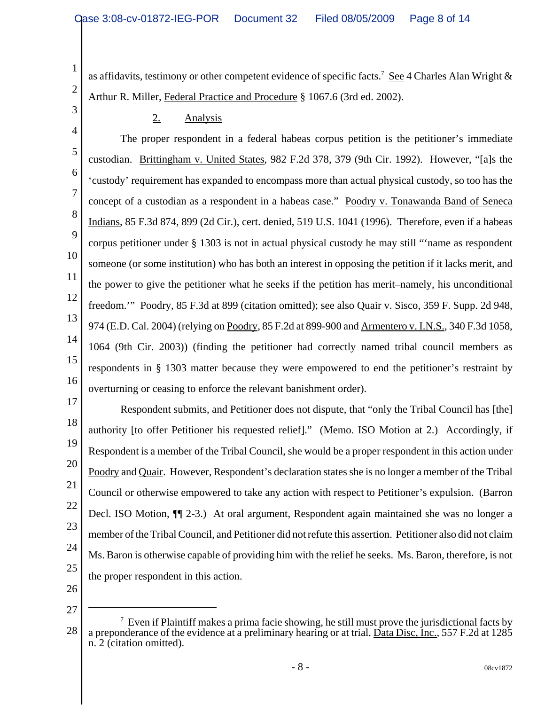as affidavits, testimony or other competent evidence of specific facts.<sup>7</sup> See 4 Charles Alan Wright & Arthur R. Miller, Federal Practice and Procedure § 1067.6 (3rd ed. 2002).

2. Analysis

4 5 6 7 8 9 10 11 12 13 14 15 16 The proper respondent in a federal habeas corpus petition is the petitioner's immediate custodian. Brittingham v. United States, 982 F.2d 378, 379 (9th Cir. 1992). However, "[a]s the 'custody' requirement has expanded to encompass more than actual physical custody, so too has the concept of a custodian as a respondent in a habeas case." Poodry v. Tonawanda Band of Seneca Indians, 85 F.3d 874, 899 (2d Cir.), cert. denied, 519 U.S. 1041 (1996). Therefore, even if a habeas corpus petitioner under § 1303 is not in actual physical custody he may still "'name as respondent someone (or some institution) who has both an interest in opposing the petition if it lacks merit, and the power to give the petitioner what he seeks if the petition has merit–namely, his unconditional freedom.'" Poodry, 85 F.3d at 899 (citation omitted); see also Quair v. Sisco, 359 F. Supp. 2d 948, 974 (E.D. Cal. 2004) (relying on Poodry, 85 F.2d at 899-900 and Armentero v. I.N.S., 340 F.3d 1058, 1064 (9th Cir. 2003)) (finding the petitioner had correctly named tribal council members as respondents in § 1303 matter because they were empowered to end the petitioner's restraint by overturning or ceasing to enforce the relevant banishment order).

17 18 19 20 21 22 23 24 25 Respondent submits, and Petitioner does not dispute, that "only the Tribal Council has [the] authority [to offer Petitioner his requested relief]." (Memo. ISO Motion at 2.) Accordingly, if Respondent is a member of the Tribal Council, she would be a proper respondent in this action under Poodry and Quair. However, Respondent's declaration states she is no longer a member of the Tribal Council or otherwise empowered to take any action with respect to Petitioner's expulsion. (Barron Decl. ISO Motion, ¶¶ 2-3.) At oral argument, Respondent again maintained she was no longer a member of the Tribal Council, and Petitioner did not refute this assertion. Petitioner also did not claim Ms. Baron is otherwise capable of providing him with the relief he seeks. Ms. Baron, therefore, is not the proper respondent in this action.

26 27

1

2

<sup>28</sup>  $<sup>7</sup>$  Even if Plaintiff makes a prima facie showing, he still must prove the jurisdictional facts by</sup> a preponderance of the evidence at a preliminary hearing or at trial. Data Disc, Inc., 557 F.2d at 1285 n. 2 (citation omitted).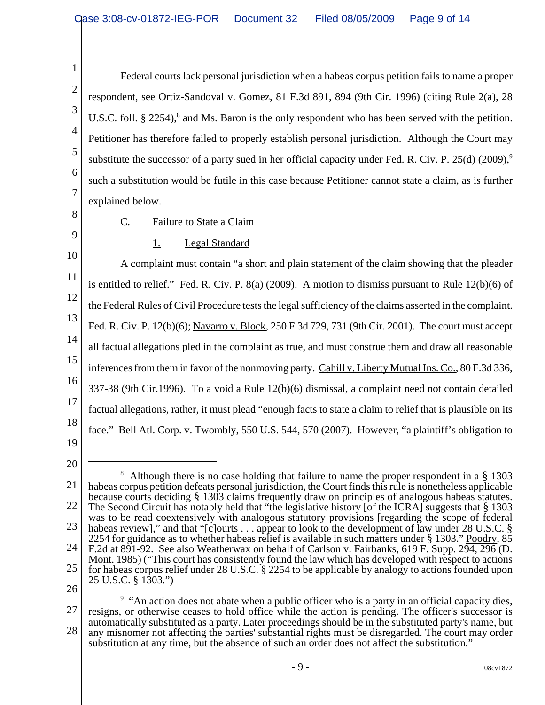Federal courts lack personal jurisdiction when a habeas corpus petition fails to name a proper respondent, see Ortiz-Sandoval v. Gomez, 81 F.3d 891, 894 (9th Cir. 1996) (citing Rule 2(a), 28 U.S.C. foll. § 2254),<sup>8</sup> and Ms. Baron is the only respondent who has been served with the petition. Petitioner has therefore failed to properly establish personal jurisdiction. Although the Court may substitute the successor of a party sued in her official capacity under Fed. R. Civ. P.  $25(d)$  (2009),<sup>9</sup> such a substitution would be futile in this case because Petitioner cannot state a claim, as is further explained below.

8

9

1

2

3

4

5

6

7

## C. Failure to State a Claim

## 1. Legal Standard

10 11 12 13 14 15 16 17 18 19 A complaint must contain "a short and plain statement of the claim showing that the pleader is entitled to relief." Fed. R. Civ. P. 8(a) (2009). A motion to dismiss pursuant to Rule 12(b)(6) of the Federal Rules of Civil Procedure tests the legal sufficiency of the claims asserted in the complaint. Fed. R. Civ. P. 12(b)(6); Navarro v. Block, 250 F.3d 729, 731 (9th Cir. 2001). The court must accept all factual allegations pled in the complaint as true, and must construe them and draw all reasonable inferences from them in favor of the nonmoving party. Cahill v. Liberty Mutual Ins. Co., 80 F.3d 336, 337-38 (9th Cir.1996). To a void a Rule 12(b)(6) dismissal, a complaint need not contain detailed factual allegations, rather, it must plead "enough facts to state a claim to relief that is plausible on its face." Bell Atl. Corp. v. Twombly, 550 U.S. 544, 570 (2007). However, "a plaintiff's obligation to

- 
- 20

<sup>21</sup> 22 23 24 25 <sup>8</sup> Although there is no case holding that failure to name the proper respondent in a § 1303 habeas corpus petition defeats personal jurisdiction, the Court finds this rule is nonetheless applicable because courts deciding § 1303 claims frequently draw on principles of analogous habeas statutes. The Second Circuit has notably held that "the legislative history [of the ICRA] suggests that § 1303 was to be read coextensively with analogous statutory provisions [regarding the scope of federal habeas review]," and that "[c]ourts . . . appear to look to the development of law under 28 U.S.C. § 2254 for guidance as to whether habeas relief is available in such matters under § 1303." Poodry, 85 F.2d at 891-92. See also Weatherwax on behalf of Carlson v. Fairbanks, 619 F. Supp. 294, 296 (D. Mont. 1985) ("This court has consistently found the law which has developed with respect to actions for habeas corpus relief under 28 U.S.C. § 2254 to be applicable by analogy to actions founded upon 25 U.S.C. § 1303.")

<sup>27</sup> 28 <sup>9</sup> "An action does not abate when a public officer who is a party in an official capacity dies, resigns, or otherwise ceases to hold office while the action is pending. The officer's successor is automatically substituted as a party. Later proceedings should be in the substituted party's name, but any misnomer not affecting the parties' substantial rights must be disregarded. The court may order substitution at any time, but the absence of such an order does not affect the substitution."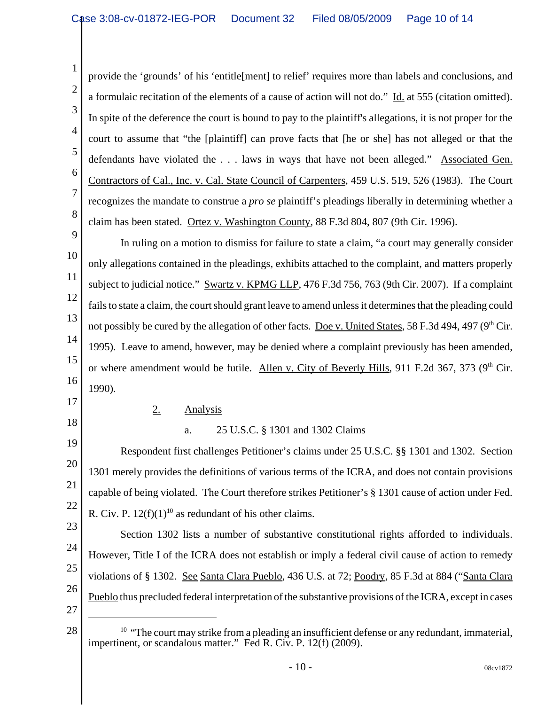provide the 'grounds' of his 'entitle[ment] to relief' requires more than labels and conclusions, and a formulaic recitation of the elements of a cause of action will not do." Id. at 555 (citation omitted). In spite of the deference the court is bound to pay to the plaintiff's allegations, it is not proper for the court to assume that "the [plaintiff] can prove facts that [he or she] has not alleged or that the defendants have violated the . . . laws in ways that have not been alleged." Associated Gen. Contractors of Cal., Inc. v. Cal. State Council of Carpenters, 459 U.S. 519, 526 (1983). The Court recognizes the mandate to construe a *pro se* plaintiff's pleadings liberally in determining whether a claim has been stated. Ortez v. Washington County, 88 F.3d 804, 807 (9th Cir. 1996).

9 10 11 12 13 14 15 16 In ruling on a motion to dismiss for failure to state a claim, "a court may generally consider only allegations contained in the pleadings, exhibits attached to the complaint, and matters properly subject to judicial notice." Swartz v. KPMG LLP, 476 F.3d 756, 763 (9th Cir. 2007). If a complaint fails to state a claim, the court should grant leave to amend unless it determines that the pleading could not possibly be cured by the allegation of other facts. Doe v. United States, 58 F.3d 494, 497 (9<sup>th</sup> Cir. 1995). Leave to amend, however, may be denied where a complaint previously has been amended, or where amendment would be futile. Allen v. City of Beverly Hills, 911 F.2d 367, 373 (9<sup>th</sup> Cir. 1990).

17 18

1

2

3

4

5

6

7

8

## 2. Analysis

## a. 25 U.S.C. § 1301 and 1302 Claims

19 20 21 22 Respondent first challenges Petitioner's claims under 25 U.S.C. §§ 1301 and 1302. Section 1301 merely provides the definitions of various terms of the ICRA, and does not contain provisions capable of being violated. The Court therefore strikes Petitioner's § 1301 cause of action under Fed. R. Civ. P.  $12(f)(1)^{10}$  as redundant of his other claims.

23 24 25 26 Section 1302 lists a number of substantive constitutional rights afforded to individuals. However, Title I of the ICRA does not establish or imply a federal civil cause of action to remedy violations of § 1302. See Santa Clara Pueblo, 436 U.S. at 72; Poodry, 85 F.3d at 884 ("Santa Clara Pueblo thus precluded federal interpretation of the substantive provisions of the ICRA, except in cases

 $28 \parallel$  <sup>10</sup> "The court may strike from a pleading an insufficient defense or any redundant, immaterial, impertinent, or scandalous matter." Fed R. Civ. P. 12(f) (2009).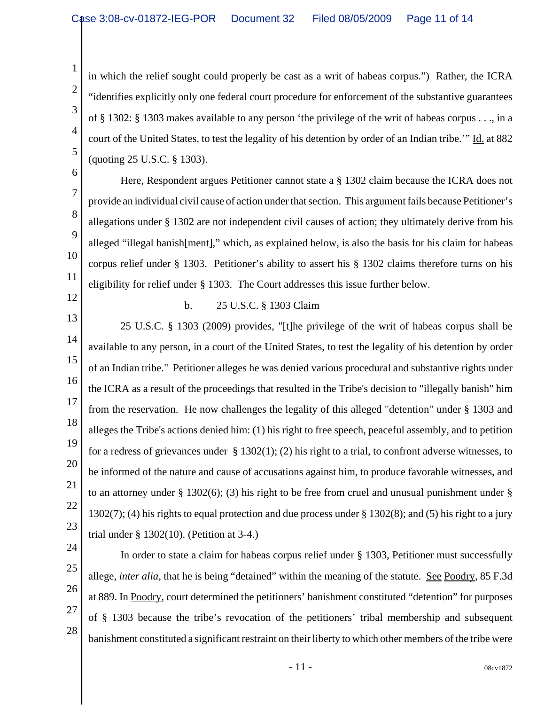in which the relief sought could properly be cast as a writ of habeas corpus.") Rather, the ICRA "identifies explicitly only one federal court procedure for enforcement of the substantive guarantees of § 1302: § 1303 makes available to any person 'the privilege of the writ of habeas corpus . . ., in a court of the United States, to test the legality of his detention by order of an Indian tribe.'" Id. at 882 (quoting 25 U.S.C. § 1303).

6 7

8

9

10

11

1

2

3

4

5

Here, Respondent argues Petitioner cannot state a § 1302 claim because the ICRA does not provide an individual civil cause of action under that section. This argument fails because Petitioner's allegations under § 1302 are not independent civil causes of action; they ultimately derive from his alleged "illegal banish[ment]," which, as explained below, is also the basis for his claim for habeas corpus relief under § 1303. Petitioner's ability to assert his § 1302 claims therefore turns on his eligibility for relief under § 1303. The Court addresses this issue further below.

12 13

### b. 25 U.S.C. § 1303 Claim

14 15 16 17 18 19 20 21 22 23 25 U.S.C. § 1303 (2009) provides, "[t]he privilege of the writ of habeas corpus shall be available to any person, in a court of the United States, to test the legality of his detention by order of an Indian tribe." Petitioner alleges he was denied various procedural and substantive rights under the ICRA as a result of the proceedings that resulted in the Tribe's decision to "illegally banish" him from the reservation. He now challenges the legality of this alleged "detention" under § 1303 and alleges the Tribe's actions denied him: (1) his right to free speech, peaceful assembly, and to petition for a redress of grievances under  $\S 1302(1)$ ; (2) his right to a trial, to confront adverse witnesses, to be informed of the nature and cause of accusations against him, to produce favorable witnesses, and to an attorney under  $\S$  1302(6); (3) his right to be free from cruel and unusual punishment under  $\S$ 1302(7); (4) his rights to equal protection and due process under § 1302(8); and (5) his right to a jury trial under § 1302(10). (Petition at 3-4.)

- 24
- 25

26

27

28

allege, *inter alia*, that he is being "detained" within the meaning of the statute. See Poodry, 85 F.3d at 889. In Poodry, court determined the petitioners' banishment constituted "detention" for purposes of § 1303 because the tribe's revocation of the petitioners' tribal membership and subsequent banishment constituted a significant restraint on their liberty to which other members of the tribe were

In order to state a claim for habeas corpus relief under § 1303, Petitioner must successfully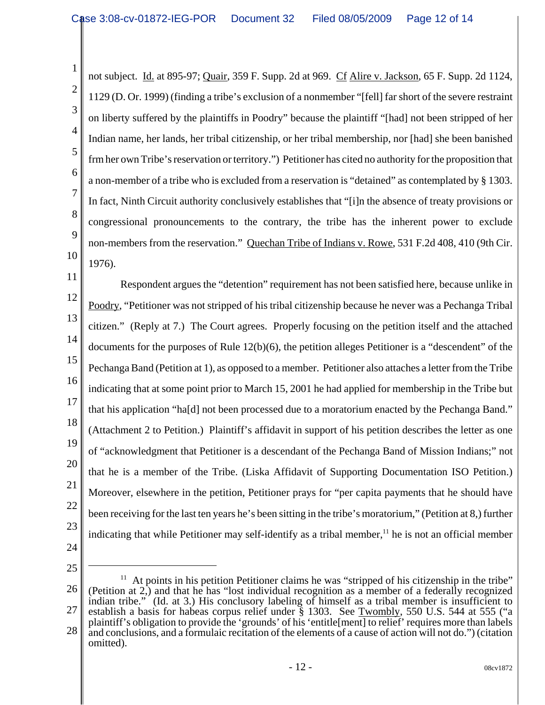4 6 10 not subject. Id. at 895-97; Quair, 359 F. Supp. 2d at 969. Cf Alire v. Jackson, 65 F. Supp. 2d 1124, 1129 (D. Or. 1999) (finding a tribe's exclusion of a nonmember "[fell] far short of the severe restraint on liberty suffered by the plaintiffs in Poodry" because the plaintiff "[had] not been stripped of her Indian name, her lands, her tribal citizenship, or her tribal membership, nor [had] she been banished frm her own Tribe's reservation or territory.") Petitioner has cited no authority for the proposition that a non-member of a tribe who is excluded from a reservation is "detained" as contemplated by § 1303. In fact, Ninth Circuit authority conclusively establishes that "[i]n the absence of treaty provisions or congressional pronouncements to the contrary, the tribe has the inherent power to exclude non-members from the reservation." Quechan Tribe of Indians v. Rowe, 531 F.2d 408, 410 (9th Cir. 1976).

11 12 13 14 15 16 17 18 19 20 21 22 23 Respondent argues the "detention" requirement has not been satisfied here, because unlike in Poodry, "Petitioner was not stripped of his tribal citizenship because he never was a Pechanga Tribal citizen." (Reply at 7.) The Court agrees. Properly focusing on the petition itself and the attached documents for the purposes of Rule 12(b)(6), the petition alleges Petitioner is a "descendent" of the Pechanga Band (Petition at 1), as opposed to a member. Petitioner also attaches a letter from the Tribe indicating that at some point prior to March 15, 2001 he had applied for membership in the Tribe but that his application "ha[d] not been processed due to a moratorium enacted by the Pechanga Band." (Attachment 2 to Petition.) Plaintiff's affidavit in support of his petition describes the letter as one of "acknowledgment that Petitioner is a descendant of the Pechanga Band of Mission Indians;" not that he is a member of the Tribe. (Liska Affidavit of Supporting Documentation ISO Petition.) Moreover, elsewhere in the petition, Petitioner prays for "per capita payments that he should have been receiving for the last ten years he's been sitting in the tribe's moratorium," (Petition at 8,) further indicating that while Petitioner may self-identify as a tribal member, $11$  he is not an official member

24

1

2

3

5

7

8

9

25

26 27 28  $11$  At points in his petition Petitioner claims he was "stripped of his citizenship in the tribe" (Petition at 2,) and that he has "lost individual recognition as a member of a federally recognized indian tribe." (Id. at 3.) His conclusory labeling of himself as a tribal member is insufficient to establish a basis for habeas corpus relief under § 1303. See Twombly, 550 U.S. 544 at 555 ("a plaintiff's obligation to provide the 'grounds' of his 'entitle[ment] to relief' requires more than labels and conclusions, and a formulaic recitation of the elements of a cause of action will not do.") (citation omitted).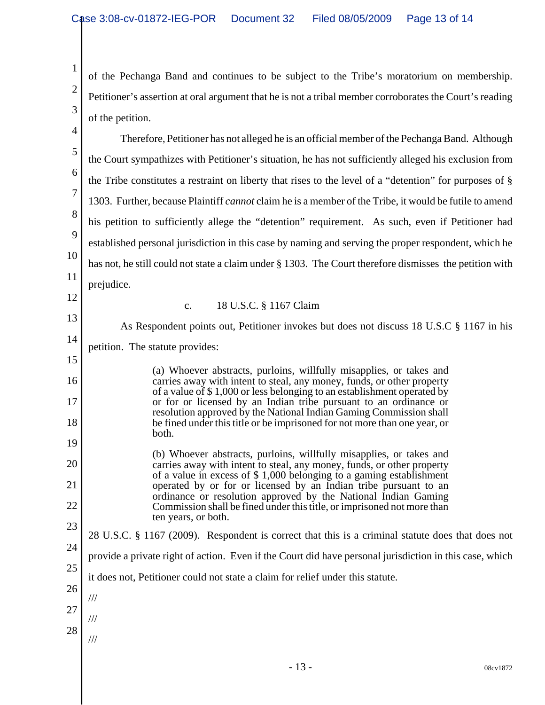1

2

3

of the Pechanga Band and continues to be subject to the Tribe's moratorium on membership. Petitioner's assertion at oral argument that he is not a tribal member corroborates the Court's reading of the petition.

4 5 6 7 8 9 10 11 12 13 14 15 16 17 18 19 20 21 22 23 24 25 26 27 28 Therefore, Petitioner has not alleged he is an official member of the Pechanga Band. Although the Court sympathizes with Petitioner's situation, he has not sufficiently alleged his exclusion from the Tribe constitutes a restraint on liberty that rises to the level of a "detention" for purposes of § 1303. Further, because Plaintiff *cannot* claim he is a member of the Tribe, it would be futile to amend his petition to sufficiently allege the "detention" requirement. As such, even if Petitioner had established personal jurisdiction in this case by naming and serving the proper respondent, which he has not, he still could not state a claim under § 1303. The Court therefore dismisses the petition with prejudice. c. 18 U.S.C. § 1167 Claim As Respondent points out, Petitioner invokes but does not discuss 18 U.S.C § 1167 in his petition. The statute provides: (a) Whoever abstracts, purloins, willfully misapplies, or takes and carries away with intent to steal, any money, funds, or other property of a value of \$ 1,000 or less belonging to an establishment operated by or for or licensed by an Indian tribe pursuant to an ordinance or resolution approved by the National Indian Gaming Commission shall be fined under this title or be imprisoned for not more than one year, or both. (b) Whoever abstracts, purloins, willfully misapplies, or takes and carries away with intent to steal, any money, funds, or other property of a value in excess of \$ 1,000 belonging to a gaming establishment operated by or for or licensed by an Indian tribe pursuant to an ordinance or resolution approved by the National Indian Gaming Commission shall be fined under this title, or imprisoned not more than ten years, or both. 28 U.S.C. § 1167 (2009). Respondent is correct that this is a criminal statute does that does not provide a private right of action. Even if the Court did have personal jurisdiction in this case, which it does not, Petitioner could not state a claim for relief under this statute. /// /// ///